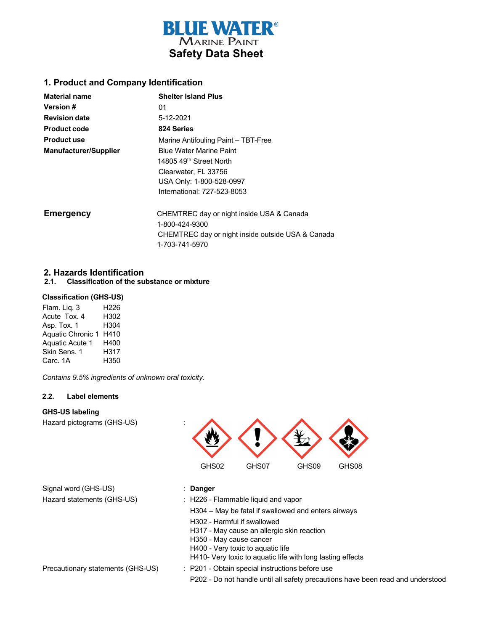

## **1. Product and Company Identification**

| <b>Material name</b>         | <b>Shelter Island Plus</b>                        |
|------------------------------|---------------------------------------------------|
| <b>Version #</b>             | 01                                                |
| <b>Revision date</b>         | 5-12-2021                                         |
| <b>Product code</b>          | 824 Series                                        |
| <b>Product use</b>           | Marine Antifouling Paint - TBT-Free               |
| <b>Manufacturer/Supplier</b> | <b>Blue Water Marine Paint</b>                    |
|                              | 14805 49 <sup>th</sup> Street North               |
|                              | Clearwater, FL 33756                              |
|                              | USA Only: 1-800-528-0997                          |
|                              | International: 727-523-8053                       |
| <b>Emergency</b>             | CHEMTREC day or night inside USA & Canada         |
|                              | 1-800-424-9300                                    |
|                              | CHEMTREC day or night inside outside USA & Canada |
|                              | 1-703-741-5970                                    |

## **2. Hazards Identification**

#### **2.1. Classification of the substance or mixture**

#### **Classification (GHS-US)**

| Flam. Liq. 3             | H226 |
|--------------------------|------|
| Acute Tox. 4             | H302 |
| Asp. Tox. 1              | H304 |
| <b>Aquatic Chronic 1</b> | H410 |
| Aquatic Acute 1          | H400 |
| Skin Sens. 1             | H317 |
| Carc. 1A                 | H350 |

 *Contains 9.5% ingredients of unknown oral toxicity.*

### **2.2. Label elements**

#### **GHS-US labeling**

Hazard pictograms (GHS-US) :



Signal word (GHS-US) : **Danger** Hazard statements (GHS-US) : H226 - Flammable liquid and vapor

- 
- H304 May be fatal if swallowed and enters airways
- H302 Harmful if swallowed
- H317 May cause an allergic skin reaction
- H350 May cause cancer
- H400 Very toxic to aquatic life
- H410- Very toxic to aquatic life with long lasting effects

Precautionary statements (GHS-US) : P201 - Obtain special instructions before use

P202 - Do not handle until all safety precautions have been read and understood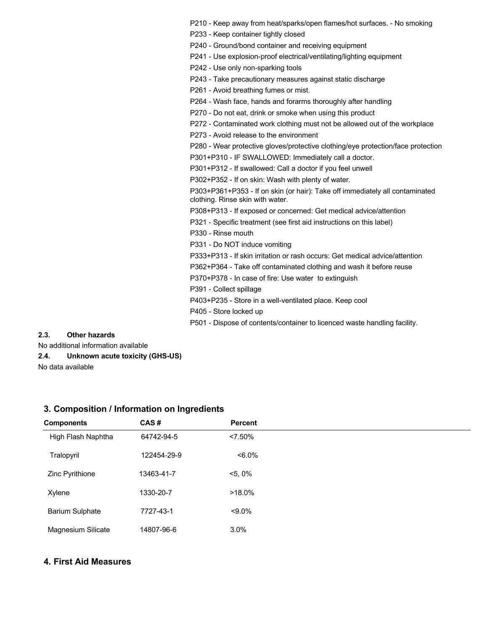P210 - Keep away from heat/sparks/open flames/hot surfaces. - No smoking

P233 - Keep container tightly closed

P240 - Ground/bond container and receiving equipment

P241 - Use explosion-proof electrical/ventilating/lighting equipment

P242 - Use only non-sparking tools

P243 - Take precautionary measures against static discharge

P261 - Avoid breathing fumes or mist.

P264 - Wash face, hands and forarms thoroughly after handling

P270 - Do not eat, drink or smoke when using this product

P272 - Contaminated work clothing must not be allowed out of the workplace

P273 - Avoid release to the environment

P280 - Wear protective gloves/protective clothing/eye protection/face protection

P301+P310 - IF SWALLOWED: Immediately call a doctor.

P301+P312 - If swallowed: Call a doctor if you feel unwell

P302+P352 - If on skin: Wash with plenty of water.

P303+P361+P353 - If on skin (or hair): Take off immediately all contaminated clothing. Rinse skin with water.

P308+P313 - If exposed or concerned: Get medical advice/attention

P321 - Specific treatment (see first aid instructions on this label)

P330 - Rinse mouth

P331 - Do NOT induce vomiting

P333+P313 - If skin irritation or rash occurs: Get medical advice/attention

P362+P364 - Take off contaminated clothing and wash it before reuse

P370+P378 - In case of fire: Use water to extinguish

P391 - Collect spillage

P403+P235 - Store in a well-ventilated place. Keep cool

P405 - Store locked up

P501 - Dispose of contents/container to licenced waste handling facility.

## **2.3. Other hazards**

No additional information available

**2.4. Unknown acute toxicity (GHS-US)**

No data available

| <b>Components</b>      | CAS#        | <b>Percent</b> |
|------------------------|-------------|----------------|
| High Flash Naphtha     | 64742-94-5  | $< 7.50\%$     |
| Tralopyril             | 122454-29-9 | $<6.0\%$       |
| Zinc Pyrithione        | 13463-41-7  | $<5,0\%$       |
| Xylene                 | 1330-20-7   | $>18.0\%$      |
| <b>Barium Sulphate</b> | 7727-43-1   | $< 9.0\%$      |
| Magnesium Silicate     | 14807-96-6  | 3.0%           |

#### **3. Composition / Information on Ingredients**

## **4. First Aid Measures**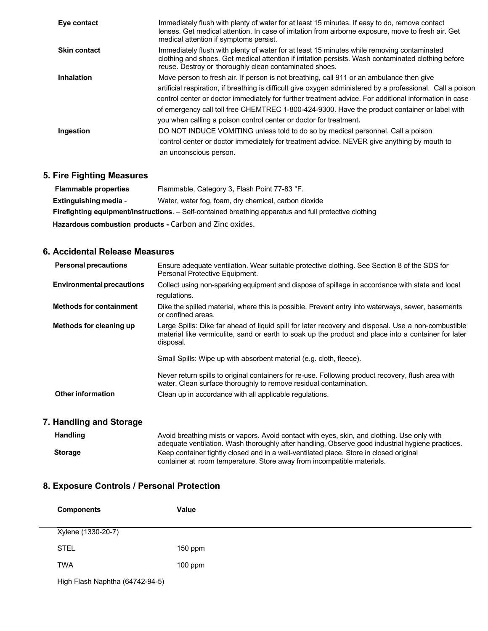| Eye contact         | Immediately flush with plenty of water for at least 15 minutes. If easy to do, remove contact<br>lenses. Get medical attention. In case of irritation from airborne exposure, move to fresh air. Get<br>medical attention if symptoms persist.                                                                                                                                                                                                                                         |
|---------------------|----------------------------------------------------------------------------------------------------------------------------------------------------------------------------------------------------------------------------------------------------------------------------------------------------------------------------------------------------------------------------------------------------------------------------------------------------------------------------------------|
| <b>Skin contact</b> | Immediately flush with plenty of water for at least 15 minutes while removing contaminated<br>clothing and shoes. Get medical attention if irritation persists. Wash contaminated clothing before<br>reuse. Destroy or thoroughly clean contaminated shoes.                                                                                                                                                                                                                            |
| <b>Inhalation</b>   | Move person to fresh air. If person is not breathing, call 911 or an ambulance then give<br>artificial respiration, if breathing is difficult give oxygen administered by a professional. Call a poison<br>control center or doctor immediately for further treatment advice. For additional information in case<br>of emergency call toll free CHEMTREC 1-800-424-9300. Have the product container or label with<br>you when calling a poison control center or doctor for treatment. |
| Ingestion           | DO NOT INDUCE VOMITING unless told to do so by medical personnel. Call a poison<br>control center or doctor immediately for treatment advice. NEVER give anything by mouth to<br>an unconscious person.                                                                                                                                                                                                                                                                                |

# **5. Fire Fighting Measures**

| <b>Flammable properties</b>                                                                                   | Flammable, Category 3, Flash Point 77-83 °F. |  |
|---------------------------------------------------------------------------------------------------------------|----------------------------------------------|--|
| Water, water fog, foam, dry chemical, carbon dioxide<br><b>Extinguishing media -</b>                          |                                              |  |
| <b>Firefighting equipment/instructions.</b> – Self-contained breathing apparatus and full protective clothing |                                              |  |
| Hazardous combustion products - Carbon and Zinc oxides.                                                       |                                              |  |

## **6. Accidental Release Measures**

| <b>Personal precautions</b>      | Ensure adequate ventilation. Wear suitable protective clothing. See Section 8 of the SDS for<br>Personal Protective Equipment.                                                                                           |
|----------------------------------|--------------------------------------------------------------------------------------------------------------------------------------------------------------------------------------------------------------------------|
| <b>Environmental precautions</b> | Collect using non-sparking equipment and dispose of spillage in accordance with state and local<br>regulations.                                                                                                          |
| <b>Methods for containment</b>   | Dike the spilled material, where this is possible. Prevent entry into waterways, sewer, basements<br>or confined areas.                                                                                                  |
| Methods for cleaning up          | Large Spills: Dike far ahead of liquid spill for later recovery and disposal. Use a non-combustible<br>material like vermiculite, sand or earth to soak up the product and place into a container for later<br>disposal. |
|                                  | Small Spills: Wipe up with absorbent material (e.g. cloth, fleece).                                                                                                                                                      |
|                                  | Never return spills to original containers for re-use. Following product recovery, flush area with<br>water. Clean surface thoroughly to remove residual contamination.                                                  |
| Other information                | Clean up in accordance with all applicable regulations.                                                                                                                                                                  |

# **7. Handling and Storage**

| <b>Handling</b> | Avoid breathing mists or vapors. Avoid contact with eyes, skin, and clothing. Use only with<br>adequate ventilation. Wash thoroughly after handling. Observe good industrial hygiene practices. |  |
|-----------------|-------------------------------------------------------------------------------------------------------------------------------------------------------------------------------------------------|--|
| <b>Storage</b>  | Keep container tightly closed and in a well-ventilated place. Store in closed original<br>container at room temperature. Store away from incompatible materials.                                |  |

# **8. Exposure Controls / Personal Protection**

| <b>Components</b>               | Value     |  |
|---------------------------------|-----------|--|
| Xylene (1330-20-7)              |           |  |
| <b>STEL</b>                     | $150$ ppm |  |
| <b>TWA</b>                      | $100$ ppm |  |
| High Flash Naphtha (64742-94-5) |           |  |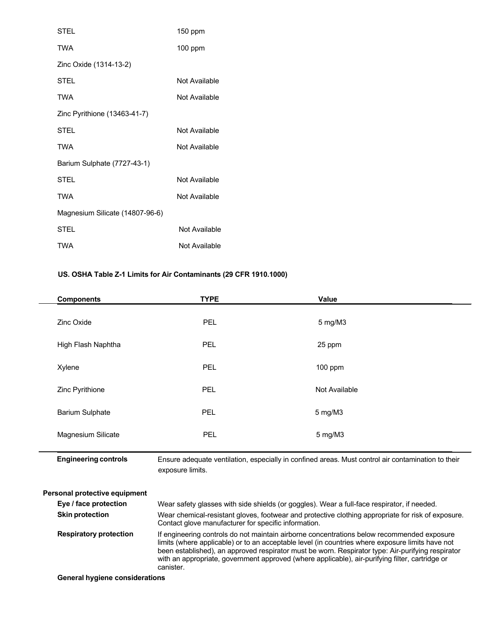| STEL                            | 150 ppm       |
|---------------------------------|---------------|
| <b>TWA</b>                      | $100$ ppm     |
| Zinc Oxide (1314-13-2)          |               |
| <b>STEL</b>                     | Not Available |
| <b>TWA</b>                      | Not Available |
| Zinc Pyrithione (13463-41-7)    |               |
| <b>STEL</b>                     | Not Available |
| TWA                             | Not Available |
| Barium Sulphate (7727-43-1)     |               |
| STEL                            | Not Available |
| TWA                             | Not Available |
| Magnesium Silicate (14807-96-6) |               |
| <b>STEL</b>                     | Not Available |
| <b>TWA</b>                      | Not Available |

## **US. OSHA Table Z-1 Limits for Air Contaminants (29 CFR 1910.1000)**

| <b>Components</b>      | <b>TYPE</b> | Value         |
|------------------------|-------------|---------------|
| Zinc Oxide             | PEL         | 5 mg/M3       |
| High Flash Naphtha     | <b>PEL</b>  | 25 ppm        |
| Xylene                 | PEL         | $100$ ppm     |
| Zinc Pyrithione        | <b>PEL</b>  | Not Available |
| <b>Barium Sulphate</b> | <b>PEL</b>  | 5 mg/M3       |
| Magnesium Silicate     | PEL         | 5 mg/M3       |
|                        |             |               |

 **Engineering controls** Ensure adequate ventilation, especially in confined areas. Must control air contamination to their exposure limits.

| <b>Personal protective equipment</b> |                                                                                                                                                                                                                                                                                                                                                                                                                     |
|--------------------------------------|---------------------------------------------------------------------------------------------------------------------------------------------------------------------------------------------------------------------------------------------------------------------------------------------------------------------------------------------------------------------------------------------------------------------|
| Eye / face protection                | Wear safety glasses with side shields (or goggles). Wear a full-face respirator, if needed.                                                                                                                                                                                                                                                                                                                         |
| <b>Skin protection</b>               | Wear chemical-resistant gloves, footwear and protective clothing appropriate for risk of exposure.<br>Contact glove manufacturer for specific information.                                                                                                                                                                                                                                                          |
| <b>Respiratory protection</b>        | If engineering controls do not maintain airborne concentrations below recommended exposure<br>limits (where applicable) or to an acceptable level (in countries where exposure limits have not<br>been established), an approved respirator must be worn. Respirator type: Air-purifying respirator<br>with an appropriate, government approved (where applicable), air-purifying filter, cartridge or<br>canister. |
| Conoral hygiono considerations       |                                                                                                                                                                                                                                                                                                                                                                                                                     |

**General hygiene considerations**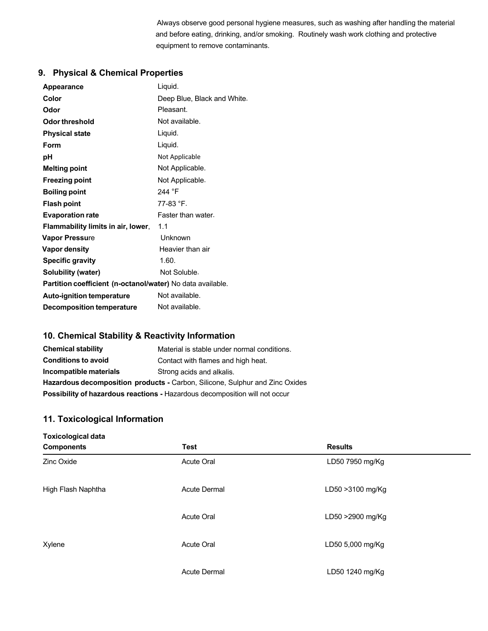Always observe good personal hygiene measures, such as washing after handling the material and before eating, drinking, and/or smoking. Routinely wash work clothing and protective equipment to remove contaminants.

# **9. Physical & Chemical Properties**

| <b>Appearance</b>                                          | Liquid.                     |  |
|------------------------------------------------------------|-----------------------------|--|
| Color                                                      | Deep Blue, Black and White. |  |
| Odor                                                       | Pleasant.                   |  |
| Odor threshold                                             | Not available.              |  |
| <b>Physical state</b>                                      | Liquid.                     |  |
| Form                                                       | Liquid.                     |  |
| рH                                                         | Not Applicable              |  |
| <b>Melting point</b>                                       | Not Applicable.             |  |
| <b>Freezing point</b>                                      | Not Applicable.             |  |
| <b>Boiling point</b>                                       | 244 °F                      |  |
| <b>Flash point</b>                                         | 77-83 °F.                   |  |
| <b>Evaporation rate</b>                                    | Faster than water.          |  |
| Flammability limits in air, lower,                         | 1.1                         |  |
| <b>Vapor Pressure</b>                                      | Unknown                     |  |
| <b>Vapor density</b>                                       | Heavier than air            |  |
| <b>Specific gravity</b>                                    | 1.60.                       |  |
| Solubility (water)                                         | Not Soluble.                |  |
| Partition coefficient (n-octanol/water) No data available. |                             |  |
| <b>Auto-ignition temperature</b>                           | Not available.              |  |
| <b>Decomposition temperature</b>                           | Not available.              |  |

# **10. Chemical Stability & Reactivity Information**

| <b>Chemical stability</b>                                                           | Material is stable under normal conditions. |
|-------------------------------------------------------------------------------------|---------------------------------------------|
| <b>Conditions to avoid</b>                                                          | Contact with flames and high heat.          |
| Incompatible materials                                                              | Strong acids and alkalis.                   |
| <b>Hazardous decomposition products - Carbon, Silicone, Sulphur and Zinc Oxides</b> |                                             |
| Possibility of hazardous reactions - Hazardous decomposition will not occur         |                                             |

## **11. Toxicological Information**

| <b>Toxicological data</b> |                     |                  |  |
|---------------------------|---------------------|------------------|--|
| <b>Components</b>         | <b>Test</b>         | <b>Results</b>   |  |
| Zinc Oxide                | Acute Oral          | LD50 7950 mg/Kg  |  |
| High Flash Naphtha        | <b>Acute Dermal</b> | LD50 >3100 mg/Kg |  |
|                           | <b>Acute Oral</b>   | LD50 >2900 mg/Kg |  |
| Xylene                    | <b>Acute Oral</b>   | LD50 5,000 mg/Kg |  |
|                           | <b>Acute Dermal</b> | LD50 1240 mg/Kg  |  |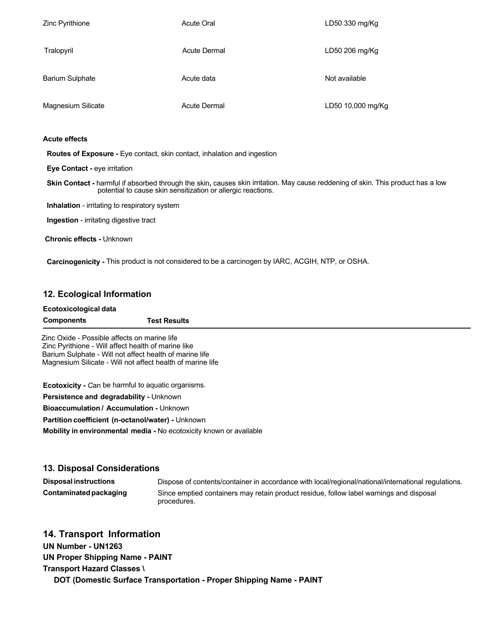| Zinc Pyrithione        | <b>Acute Oral</b>   | LD50 330 mg/Kg    |
|------------------------|---------------------|-------------------|
| Tralopyril             | <b>Acute Dermal</b> | LD50 206 mg/Kg    |
| <b>Barium Sulphate</b> | Acute data          | Not available     |
| Magnesium Silicate     | <b>Acute Dermal</b> | LD50 10,000 mg/Kg |

### **Acute effects**

 **Routes of Exposure -** Eye contact, skin contact, inhalation and ingestion

 **Eye Contact -** eye irritation

 **Skin Contact -** harmful if absorbed through the skin**,** causes skin irritation. May cause reddening of skin. This product has a low potential to cause skin sensitization or allergic reactions.

**Inhalation** - irritating to respiratory system

 **Ingestion** - irritating digestive tract

**Chronic effects -** Unknown

 **Carcinogenicity -** This product is not considered to be a carcinogen by IARC, ACGIH, NTP, or OSHA.

## **12. Ecological Information**

| Ecotoxicological data |                     |
|-----------------------|---------------------|
| <b>Components</b>     | <b>Test Results</b> |

 Zinc Oxide - Possible affects on marine life Zinc Pyrithione - Will affect health of marine like Barium Sulphate - Will not affect health of marine life Magnesium Silicate - Will not affect health of marine life

**Ecotoxicity -** *C*an be harmful to aquatic organisms.

**Persistence and degradability -** Unknown

**Bioaccumulation / Accumulation -** Unknown

**Partition coefficient (n-octanol/water) -** Unknown

**Mobility in environmental media -** No ecotoxicity known or available

## **13. Disposal Considerations**

**Disposal instructions** Dispose of contents/container in accordance with local/regional/national/international regulations. **Contaminatedpackaging** Since emptied containers may retain product residue, follow label warnings and disposal procedures.

## **14. Transport Information**

**UN Number - UN1263**

**UN Proper Shipping Name - PAINT Transport Hazard Classes \**

 **DOT (Domestic Surface Transportation - Proper Shipping Name - PAINT**